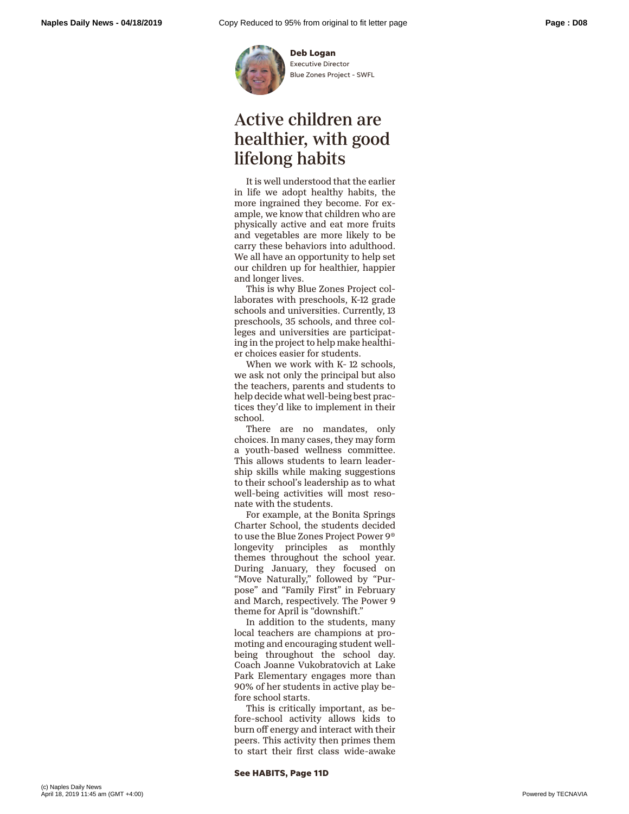

**Deb Logan** Executive Director Blue Zones Project - SWFL

## Active children are healthier, with good lifelong habits

It is well understood that the earlier in life we adopt healthy habits, the more ingrained they become. For example, we know that children who are physically active and eat more fruits and vegetables are more likely to be carry these behaviors into adulthood. We all have an opportunity to help set our children up for healthier, happier and longer lives.

This is why Blue Zones Project collaborates with preschools, K-12 grade schools and universities. Currently, 13 preschools, 35 schools, and three colleges and universities are participating in the project to help make healthier choices easier for students.

When we work with K- 12 schools, we ask not only the principal but also the teachers, parents and students to help decide what well-being best practices they'd like to implement in their school.

There are no mandates, only choices. In many cases, they may form a youth-based wellness committee. This allows students to learn leadership skills while making suggestions to their school's leadership as to what well-being activities will most resonate with the students.

For example, at the Bonita Springs Charter School, the students decided to use the Blue Zones Project Power 9® longevity principles as monthly themes throughout the school year. During January, they focused on "Move Naturally," followed by "Purpose" and "Family First" in February and March, respectively. The Power 9 theme for April is "downshift."

In addition to the students, many local teachers are champions at promoting and encouraging student wellbeing throughout the school day. Coach Joanne Vukobratovich at Lake Park Elementary engages more than 90% of her students in active play before school starts.

This is critically important, as before-school activity allows kids to burn off energy and interact with their peers. This activity then primes them to start their first class wide-awake